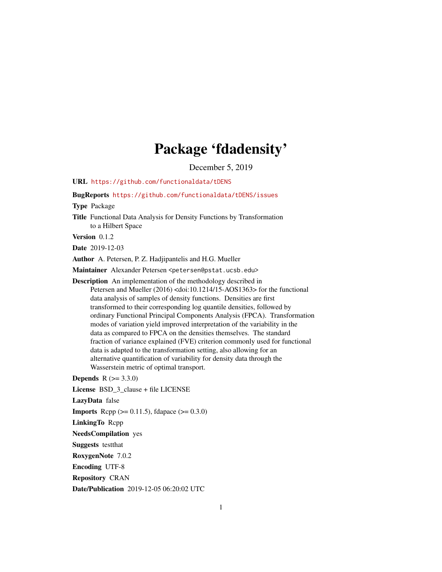# Package 'fdadensity'

December 5, 2019

<span id="page-0-0"></span>URL <https://github.com/functionaldata/tDENS>

BugReports <https://github.com/functionaldata/tDENS/issues>

Type Package

Title Functional Data Analysis for Density Functions by Transformation to a Hilbert Space

Version 0.1.2

Date 2019-12-03

Author A. Petersen, P. Z. Hadjipantelis and H.G. Mueller

Maintainer Alexander Petersen <petersen@pstat.ucsb.edu>

Description An implementation of the methodology described in Petersen and Mueller (2016) <doi:10.1214/15-AOS1363> for the functional data analysis of samples of density functions. Densities are first transformed to their corresponding log quantile densities, followed by ordinary Functional Principal Components Analysis (FPCA). Transformation modes of variation yield improved interpretation of the variability in the data as compared to FPCA on the densities themselves. The standard fraction of variance explained (FVE) criterion commonly used for functional data is adapted to the transformation setting, also allowing for an alternative quantification of variability for density data through the Wasserstein metric of optimal transport.

**Depends**  $R (= 3.3.0)$ 

License BSD\_3\_clause + file LICENSE

LazyData false

**Imports** Rcpp ( $>= 0.11.5$ ), fdapace ( $>= 0.3.0$ )

LinkingTo Rcpp

NeedsCompilation yes

Suggests testthat

RoxygenNote 7.0.2

Encoding UTF-8

Repository CRAN

Date/Publication 2019-12-05 06:20:02 UTC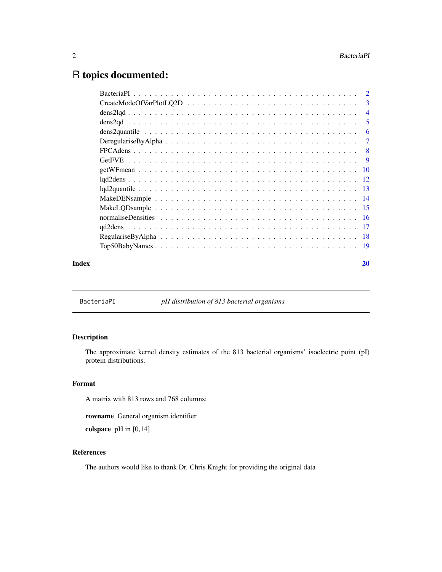# <span id="page-1-0"></span>R topics documented:

|       | $CreateModeOfVarPlot LQ2D \dots \dots \dots \dots \dots \dots \dots \dots \dots \dots \dots \dots \dots \dots$ |                            |
|-------|----------------------------------------------------------------------------------------------------------------|----------------------------|
|       |                                                                                                                | $\overline{4}$             |
|       |                                                                                                                | $\overline{\phantom{0}}$ 5 |
|       |                                                                                                                | -6                         |
|       |                                                                                                                |                            |
|       |                                                                                                                |                            |
|       |                                                                                                                |                            |
|       |                                                                                                                |                            |
|       |                                                                                                                |                            |
|       |                                                                                                                |                            |
|       |                                                                                                                |                            |
|       |                                                                                                                |                            |
|       |                                                                                                                |                            |
|       |                                                                                                                |                            |
|       |                                                                                                                |                            |
|       |                                                                                                                |                            |
| Index |                                                                                                                | 20                         |

BacteriaPI *pH distribution of 813 bacterial organisms*

# Description

The approximate kernel density estimates of the 813 bacterial organisms' isoelectric point (pI) protein distributions.

# Format

A matrix with 813 rows and 768 columns:

rowname General organism identifier

colspace pH in [0,14]

# References

The authors would like to thank Dr. Chris Knight for providing the original data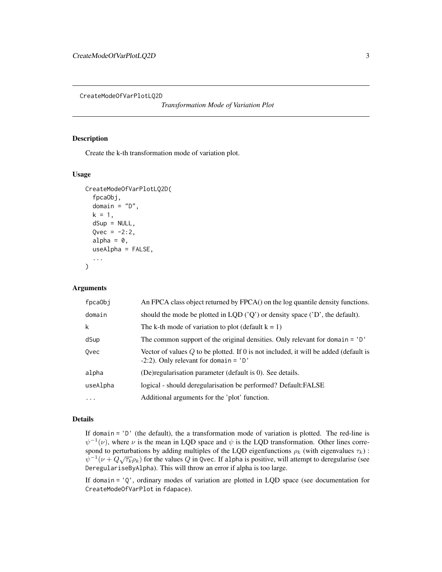<span id="page-2-0"></span>CreateModeOfVarPlotLQ2D

*Transformation Mode of Variation Plot*

# Description

Create the k-th transformation mode of variation plot.

#### Usage

```
CreateModeOfVarPlotLQ2D(
  fpcaObj,
  domain = "D",k = 1,dSup = NULL,Qvec = -2:2,
  alpha = 0,
  useAlpha = FALSE,
  ...
)
```
#### Arguments

| fpca0bj  | An FPCA class object returned by FPCA() on the log quantile density functions.                                                     |
|----------|------------------------------------------------------------------------------------------------------------------------------------|
| domain   | should the mode be plotted in LQD $('Q')$ or density space $('D')$ , the default).                                                 |
| k        | The k-th mode of variation to plot (default $k = 1$ )                                                                              |
| dSup     | The common support of the original densities. Only relevant for domain $=$ 'D'                                                     |
| Ovec     | Vector of values $Q$ to be plotted. If 0 is not included, it will be added (default is<br>$-2:2$ ). Only relevant for domain = 'D' |
| alpha    | (De) regularisation parameter (default is 0). See details.                                                                         |
| useAlpha | logical - should deregularisation be performed? Default: FALSE                                                                     |
| $\cdots$ | Additional arguments for the 'plot' function.                                                                                      |

#### Details

If domain = 'D' (the default), the a transformation mode of variation is plotted. The red-line is  $\psi^{-1}(\nu)$ , where  $\nu$  is the mean in LQD space and  $\psi$  is the LQD transformation. Other lines correspond to perturbations by adding multiples of the LQD eigenfunctions  $\rho_k$  (with eigenvalues  $\tau_k$ ) :  $\psi^{-1}(\nu+Q\sqrt{\tau_k}\rho_k)$  for the values  $Q$  in Qvec. If alpha is positive, will attempt to deregularise (see DeregulariseByAlpha). This will throw an error if alpha is too large.

If domain = 'Q', ordinary modes of variation are plotted in LQD space (see documentation for CreateModeOfVarPlot in fdapace).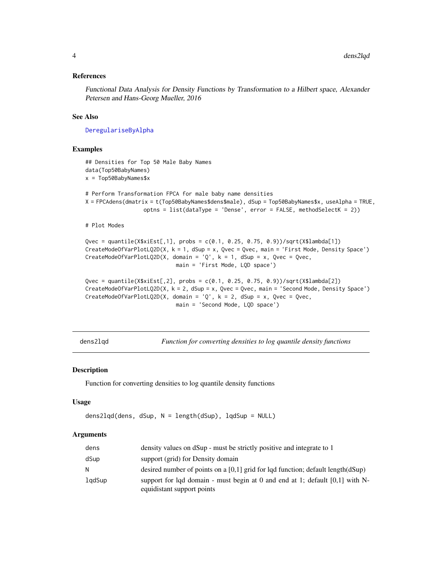#### <span id="page-3-0"></span>References

Functional Data Analysis for Density Functions by Transformation to a Hilbert space, Alexander Petersen and Hans-Georg Mueller, 2016

#### See Also

[DeregulariseByAlpha](#page-6-1)

#### Examples

```
## Densities for Top 50 Male Baby Names
data(Top50BabyNames)
x = Top50BabyNames$x
# Perform Transformation FPCA for male baby name densities
X = FPCAdens(dmatrix = t(Top50BabyNames$dens$male), dSup = Top50BabyNames$x, useAlpha = TRUE,
                  optns = list(dataType = 'Dense', error = FALSE, methodSelectK = 2))
# Plot Modes
Qvec = quantile(X$xiEst[,1], probs = c(0.1, 0.25, 0.75, 0.9))/sqrt(X$lambda[1])
CreateModeOfVarPlotLQ2D(X, k = 1, dSup = x, Qvec = Qvec, main = 'First Mode, Density Space')
CreateModeOfVarPlotLQ2D(X, domain = 'Q', k = 1, dSup = x, Qvec = Qvec,
                            main = 'First Mode, LQD space')
Qvec = quantile(X$xiEst[,2], probs = c(0.1, 0.25, 0.75, 0.9))/sqrt(X$lambda[2])
CreateModeOfVarPlotLQ2D(X, k = 2, dSup = x, Qvec = Qvec, main = 'Second Mode, Density Space')
CreateModeOfVarPlotLQ2D(X, domain = 'Q', k = 2, dSup = x, Qvec = Qvec,
                            main = 'Second Mode, LQD space')
```
<span id="page-3-1"></span>dens2lqd *Function for converting densities to log quantile density functions*

#### Description

Function for converting densities to log quantile density functions

#### Usage

```
dens2lqd(dens, dSup, N = length(dSup), lqdSup = NULL)
```

| dens   | density values on dSup - must be strictly positive and integrate to 1                                        |
|--------|--------------------------------------------------------------------------------------------------------------|
| dSup   | support (grid) for Density domain                                                                            |
| N.     | desired number of points on a $[0,1]$ grid for lqd function; default length $(dSup)$                         |
| lgdSup | support for lgd domain - must begin at 0 and end at 1; default $[0,1]$ with N-<br>equidistant support points |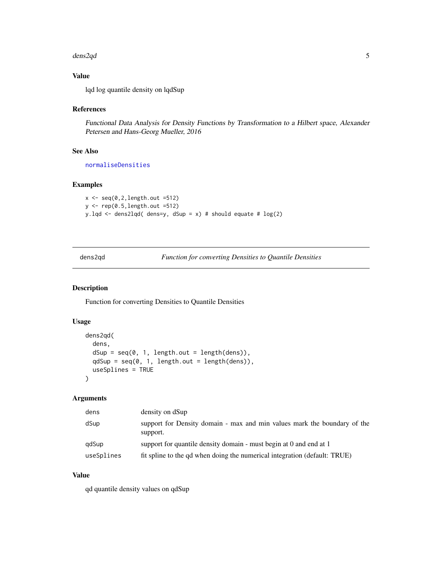#### <span id="page-4-0"></span>dens2qd 5

# Value

lqd log quantile density on lqdSup

# References

Functional Data Analysis for Density Functions by Transformation to a Hilbert space, Alexander Petersen and Hans-Georg Mueller, 2016

# See Also

[normaliseDensities](#page-15-1)

#### Examples

```
x \leftarrow \text{seq}(0, 2, \text{length.out } = 512)y <- rep(0.5,length.out =512)
y.lqd <- dens2lqd( dens=y, dSup = x) # should equate # log(2)
```
dens2qd *Function for converting Densities to Quantile Densities*

#### Description

Function for converting Densities to Quantile Densities

# Usage

```
dens2qd(
 dens,
  dSup = seq(0, 1, length.out = length(dens)),qdSup = seq(0, 1, length.out = length(dens)),
 useSplines = TRUE
)
```
#### Arguments

| dens       | density on dSup                                                                      |
|------------|--------------------------------------------------------------------------------------|
| dSup       | support for Density domain - max and min values mark the boundary of the<br>support. |
| qdSup      | support for quantile density domain - must begin at 0 and end at 1                   |
| useSplines | fit spline to the qd when doing the numerical integration (default: TRUE)            |

# Value

qd quantile density values on qdSup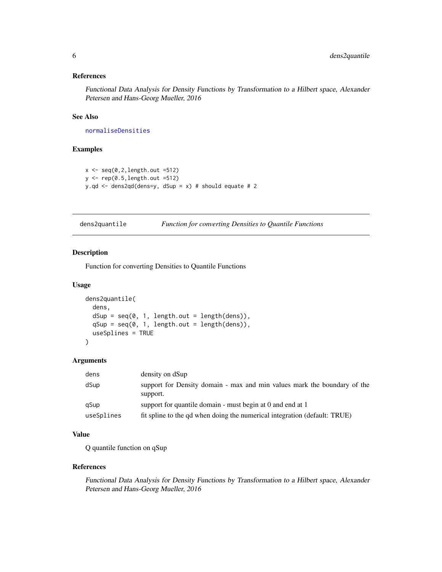# <span id="page-5-0"></span>References

Functional Data Analysis for Density Functions by Transformation to a Hilbert space, Alexander Petersen and Hans-Georg Mueller, 2016

# See Also

[normaliseDensities](#page-15-1)

# Examples

```
x \leftarrow \text{seq}(0, 2, \text{length.out }=512)y \leftarrow \text{rep}(0.5, \text{length.out }=512)y.qd \le dens2qd(dens=y, dSup = x) # should equate # 2
```
dens2quantile *Function for converting Densities to Quantile Functions*

# Description

Function for converting Densities to Quantile Functions

# Usage

```
dens2quantile(
  dens,
  dSup = seq(0, 1, length.out = length(dens)),qSup = seq(0, 1, length.out = length(dens)),useSplines = TRUE
)
```
#### Arguments

| dens       | density on dSup                                                                      |
|------------|--------------------------------------------------------------------------------------|
| dSup       | support for Density domain - max and min values mark the boundary of the<br>support. |
| gSup       | support for quantile domain - must begin at 0 and end at 1                           |
| useSplines | fit spline to the gd when doing the numerical integration (default: TRUE)            |

# Value

Q quantile function on qSup

#### References

Functional Data Analysis for Density Functions by Transformation to a Hilbert space, Alexander Petersen and Hans-Georg Mueller, 2016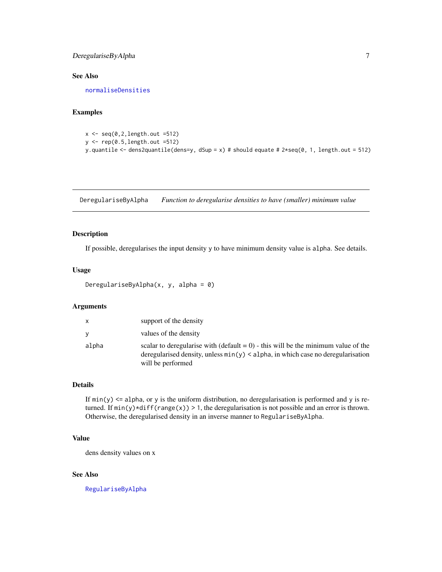# <span id="page-6-0"></span>DeregulariseByAlpha 7

# See Also

[normaliseDensities](#page-15-1)

# Examples

```
x \leftarrow \text{seq}(0, 2, \text{length.out }=512)y <- rep(0.5,length.out =512)
y.quantile <- dens2quantile(dens=y, dSup = x) # should equate # 2*seq(0, 1, length.out = 512)
```
<span id="page-6-1"></span>DeregulariseByAlpha *Function to deregularise densities to have (smaller) minimum value*

# Description

If possible, deregularises the input density y to have minimum density value is alpha. See details.

#### Usage

```
DeregulariseByAlpha(x, y, alpha = 0)
```
# Arguments

| X     | support of the density                                                                                                                                                                        |
|-------|-----------------------------------------------------------------------------------------------------------------------------------------------------------------------------------------------|
| V     | values of the density                                                                                                                                                                         |
| alpha | scalar to deregularise with $(default = 0)$ - this will be the minimum value of the<br>deregularised density, unless $min(y)$ < alpha, in which case no deregularisation<br>will be performed |

# Details

If  $min(y) \leq a$ lpha, or y is the uniform distribution, no deregularisation is performed and y is returned. If  $min(y) * diff(range(x)) > 1$ , the deregularisation is not possible and an error is thrown. Otherwise, the deregularised density in an inverse manner to RegulariseByAlpha.

#### Value

dens density values on x

#### See Also

[RegulariseByAlpha](#page-17-1)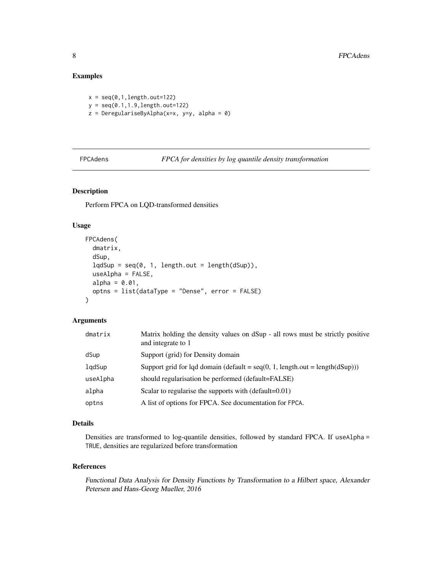# <span id="page-7-0"></span>Examples

 $x = \text{seq}(0, 1, \text{length}.\text{out=122})$  $y = seq(0.1, 1.9, length.out=122)$ z = DeregulariseByAlpha(x=x, y=y, alpha = 0)

FPCAdens *FPCA for densities by log quantile density transformation*

# Description

Perform FPCA on LQD-transformed densities

# Usage

```
FPCAdens(
  dmatrix,
  dSup,
  lqdSup = seq(0, 1, length.out = length(dSup)),useAlpha = FALSE,
  alpha = 0.01,
  optns = list(dataType = "Dense", error = FALSE)
)
```
#### Arguments

| dmatrix  | Matrix holding the density values on dSup - all rows must be strictly positive<br>and integrate to 1 |
|----------|------------------------------------------------------------------------------------------------------|
| dSup     | Support (grid) for Density domain                                                                    |
| lqdSup   | Support grid for lqd domain (default = $seq(0, 1, length.out = length(dSup)))$ )                     |
| useAlpha | should regularisation be performed (default=FALSE)                                                   |
| alpha    | Scalar to regularise the supports with (default=0.01)                                                |
| optns    | A list of options for FPCA. See documentation for FPCA.                                              |

#### Details

Densities are transformed to log-quantile densities, followed by standard FPCA. If useAlpha = TRUE, densities are regularized before transformation

# References

Functional Data Analysis for Density Functions by Transformation to a Hilbert space, Alexander Petersen and Hans-Georg Mueller, 2016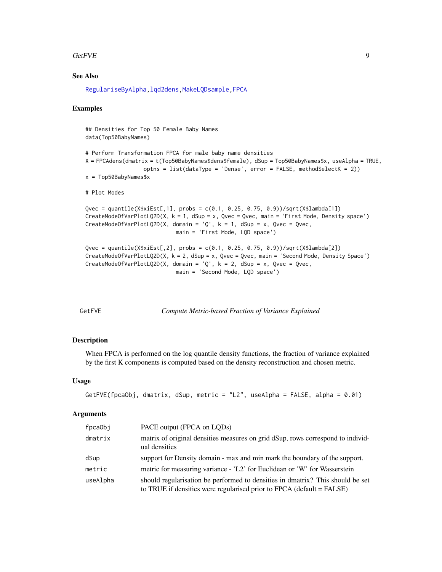#### <span id="page-8-0"></span>GetFVE 9

#### See Also

[RegulariseByAlpha](#page-17-1)[,lqd2dens,](#page-11-1)[MakeLQDsample,](#page-14-1)[FPCA](#page-0-0)

#### Examples

## Densities for Top 50 Female Baby Names data(Top50BabyNames)

```
# Perform Transformation FPCA for male baby name densities
X = FPCAdens(dmatrix = t(Top50BabyNames$dens$female), dSup = Top50BabyNames$x, useAlpha = TRUE,
                  optns = list(dataType = 'Dense', error = FALSE, methodSelectK = 2))
x = Top50BabyNames$x
# Plot Modes
```

```
Qvec = quantile(X$xiEst[,1], probs = c(0.1, 0.25, 0.75, 0.9))/sqrt(X$lambda[1])
CreateModeOfVarPlotLQ2D(X, k = 1, dSup = x, Qvec = Qvec, main = 'First Mode, Density space')
CreateModeOfVarPlotLQ2D(X, domain = 'Q', k = 1, dSup = x, Qvec = Qvec,
                            main = 'First Mode, LQD space')
```

```
Qvec = quantile(X$xiEst[,2], probs = c(0.1, 0.25, 0.75, 0.9)/sqrt(X$lambda[2])
CreateModeOfVarPlotLQ2D(X, k = 2, dSup = x, Qvec = Qvec, main = 'Second Mode, Density Space')
CreateModeOfVarPlotLQ2D(X, domain = 'Q', k = 2, dSup = x, Qvec = Qvec,
                            main = 'Second Mode, LQD space')
```
GetFVE *Compute Metric-based Fraction of Variance Explained*

#### Description

When FPCA is performed on the log quantile density functions, the fraction of variance explained by the first K components is computed based on the density reconstruction and chosen metric.

#### Usage

```
GetFVE(fpcaObj, dmatrix, dSup, metric = "L2", useAlpha = FALSE, alpha = 0.01)
```

| fpca0bj  | PACE output (FPCA on LQDs)                                                                                                                              |
|----------|---------------------------------------------------------------------------------------------------------------------------------------------------------|
| dmatrix  | matrix of original densities measures on grid dSup, rows correspond to individ-<br>ual densities                                                        |
| dSup     | support for Density domain - max and min mark the boundary of the support.                                                                              |
| metric   | metric for measuring variance - 'L2' for Euclidean or 'W' for Wasserstein                                                                               |
| useAlpha | should regularization be performed to densities in dmatrix? This should be set<br>to TRUE if densities were regularised prior to FPCA (default = FALSE) |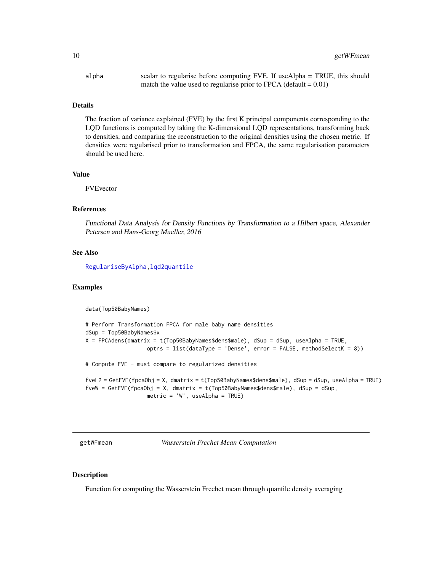<span id="page-9-0"></span>alpha scalar to regularise before computing FVE. If useAlpha = TRUE, this should match the value used to regularise prior to FPCA (default  $= 0.01$ )

#### Details

The fraction of variance explained (FVE) by the first K principal components corresponding to the LQD functions is computed by taking the K-dimensional LQD representations, transforming back to densities, and comparing the reconstruction to the original densities using the chosen metric. If densities were regularised prior to transformation and FPCA, the same regularisation parameters should be used here.

#### Value

FVEvector

#### References

Functional Data Analysis for Density Functions by Transformation to a Hilbert space, Alexander Petersen and Hans-Georg Mueller, 2016

#### See Also

[RegulariseByAlpha](#page-17-1)[,lqd2quantile](#page-12-1)

#### Examples

data(Top50BabyNames)

```
# Perform Transformation FPCA for male baby name densities
dSup = Top50BabyNames$x
X = FPCAdens(dmatrix = t(Top50BabyNames$dens$male), dSup = dSup, useAlpha = TRUE,
                   optns = list(dataType = 'Dense', error = FALSE, methodSelectK = 8))
# Compute FVE - must compare to regularized densities
fveL2 = GetFVE(fpcaObj = X, dmatrix = t(Top50BabyNames$dens$male), dSup = dSup, useAlpha = TRUE)
fveW = GetFVE(fpcaObj = X, dmatrix = t(Top50BabyNames$dens$male), dSup = dSup,
```

```
metric = 'W', useAlpha = TRUE)
```
getWFmean *Wasserstein Frechet Mean Computation*

#### **Description**

Function for computing the Wasserstein Frechet mean through quantile density averaging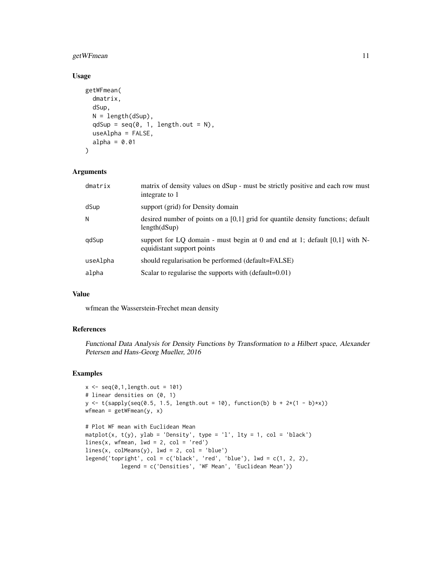# getWFmean 11

# Usage

```
getWFmean(
  dmatrix,
  dSup,
  N = length(dSup),
  qdSup = seq(0, 1, length.out = N),
  useAlpha = FALSE,
  alpha = 0.01\mathcal{L}
```
#### Arguments

| dmatrix  | matrix of density values on dSup - must be strictly positive and each row must<br>integrate to 1            |
|----------|-------------------------------------------------------------------------------------------------------------|
| dSup     | support (grid) for Density domain                                                                           |
| N        | desired number of points on a $[0,1]$ grid for quantile density functions; default<br>length(dSup)          |
| qdSup    | support for LO domain - must begin at 0 and end at 1; default $[0,1]$ with N-<br>equidistant support points |
| useAlpha | should regularisation be performed (default=FALSE)                                                          |
| alpha    | Scalar to regularise the supports with (default=0.01)                                                       |

# Value

wfmean the Wasserstein-Frechet mean density

# References

Functional Data Analysis for Density Functions by Transformation to a Hilbert space, Alexander Petersen and Hans-Georg Mueller, 2016

# Examples

```
x \leq -\text{seq}(0, 1, \text{length.out} = 101)# linear densities on (0, 1)
y \leftarrow t(sapply(seq(0.5, 1.5, length.out = 10), function(b) b + 2*(1 - b)*x))wfmean = getWFmean(y, x)# Plot WF mean with Euclidean Mean
matplot(x, t(y), ylab = 'Density', type = 'l', lty = 1, col = 'black')
lines(x, when, lwd = 2, col = 'red')lines(x, colMeans(y), lw = 2, col = 'blue')legend('topright', col = c('black', 'red', 'blue'), \nld = c(1, 2, 2),legend = c('Densities', 'WF Mean', 'Euclidean Mean'))
```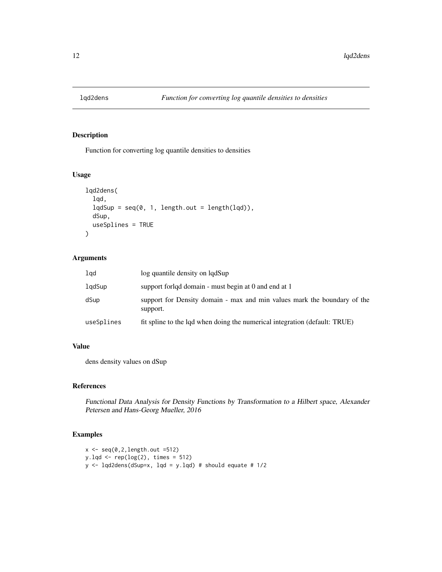<span id="page-11-1"></span><span id="page-11-0"></span>

### Description

Function for converting log quantile densities to densities

# Usage

```
lqd2dens(
  lqd,
  lqdsup = seq(0, 1, length.out = length(lqd)),dSup,
  useSplines = TRUE
)
```
# Arguments

| lqd        | log quantile density on lqdSup                                                       |
|------------|--------------------------------------------------------------------------------------|
| lgdSup     | support forldd domain - must begin at 0 and end at 1                                 |
| dSup       | support for Density domain - max and min values mark the boundary of the<br>support. |
| useSplines | fit spline to the lad when doing the numerical integration (default: TRUE)           |

# Value

dens density values on dSup

# References

Functional Data Analysis for Density Functions by Transformation to a Hilbert space, Alexander Petersen and Hans-Georg Mueller, 2016

# Examples

```
x \leftarrow \text{seq}(0, 2, \text{length.out } = 512)y.lqd \leftarrow rep(log(2), times = 512)y <- lqd2dens(dSup=x, lqd = y.lqd) # should equate # 1/2
```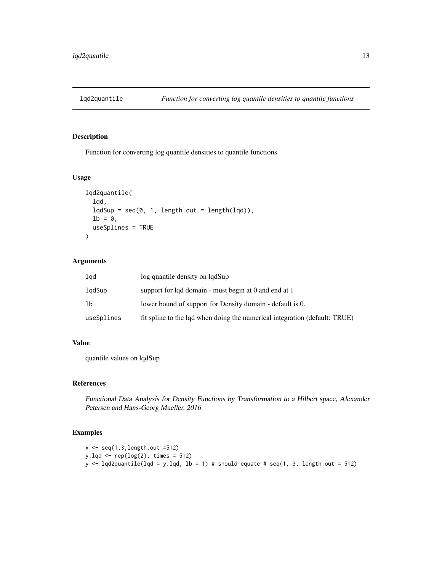<span id="page-12-1"></span><span id="page-12-0"></span>

# Description

Function for converting log quantile densities to quantile functions

#### Usage

```
lqd2quantile(
  lqd,
  lqdsup = seq(0, 1, length.out = length(lqd)),1b = 0,
  useSplines = TRUE
)
```
#### Arguments

| lgd        | log quantile density on lqdSup                                             |
|------------|----------------------------------------------------------------------------|
| lgdSup     | support for lgd domain - must begin at 0 and end at 1                      |
| lb         | lower bound of support for Density domain - default is 0.                  |
| useSplines | fit spline to the lad when doing the numerical integration (default: TRUE) |

# Value

quantile values on lqdSup

# References

Functional Data Analysis for Density Functions by Transformation to a Hilbert space, Alexander Petersen and Hans-Georg Mueller, 2016

#### Examples

```
x \leftarrow \text{seq}(1, 3, \text{length.out } = 512)y.lqd <- rep(log(2), times = 512)
y \leftarrow lqd2quantile(lqd = y.lqd, lb = 1) # should equate # seq(1, 3, length.out = 512)
```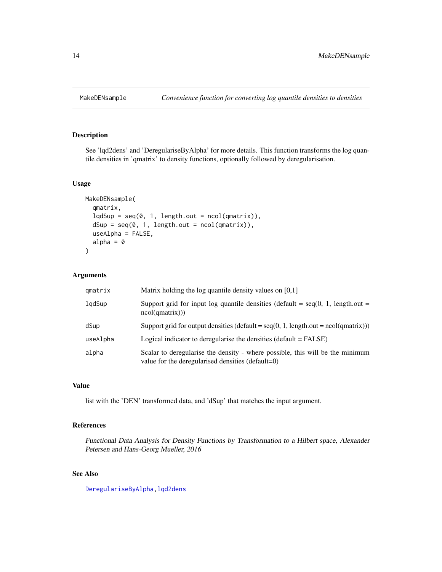<span id="page-13-0"></span>

# Description

See 'lqd2dens' and 'DeregulariseByAlpha' for more details. This function transforms the log quantile densities in 'qmatrix' to density functions, optionally followed by deregularisation.

# Usage

```
MakeDENsample(
  qmatrix,
  lqdSup = seq(0, 1, length.out = ncol(qmatrix)),dSup = seq(0, 1, length.out = ncol(qmatrix)),useAlpha = FALSE,
  alpha = \theta\mathcal{E}
```
# Arguments

| qmatrix  | Matrix holding the log quantile density values on $[0,1]$                                                                          |
|----------|------------------------------------------------------------------------------------------------------------------------------------|
| lgdSup   | Support grid for input log quantile densities (default = $seq(0, 1, length.out =$<br>ncol(qmatrix))                                |
| dSup     | Support grid for output densities (default = $seq(0, 1, length.out = ncol(qmatrix))$ )                                             |
| useAlpha | Logical indicator to deregularise the densities $(\text{default} = \text{FALSE})$                                                  |
| alpha    | Scalar to deregularise the density - where possible, this will be the minimum<br>value for the deregularised densities (default=0) |

# Value

list with the 'DEN' transformed data, and 'dSup' that matches the input argument.

# References

Functional Data Analysis for Density Functions by Transformation to a Hilbert space, Alexander Petersen and Hans-Georg Mueller, 2016

# See Also

[DeregulariseByAlpha,](#page-6-1)[lqd2dens](#page-11-1)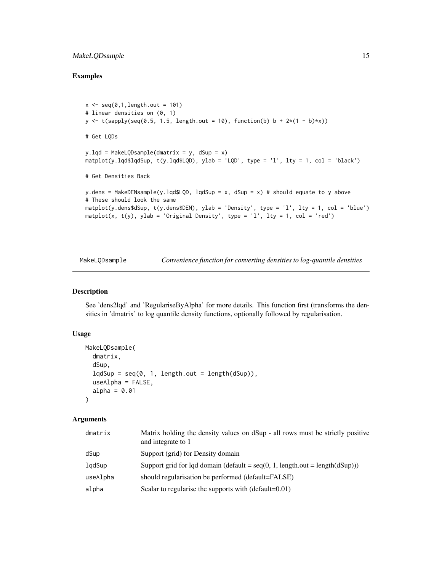# <span id="page-14-0"></span>MakeLQDsample 15

# Examples

```
x \leftarrow \text{seq}(0, 1, \text{length.out} = 101)# linear densities on (0, 1)
y \leftarrow t(sapply(seq(0.5, 1.5, length.out = 10), function(b) b + 2*(1 - b)*x))# Get LQDs
y.lqd = MakeLQDsample(dmatrix = y, dSup = x)maplot(y.lqd$lqdSup, t(y.lqd$LQD), ylab = 'LQD', type = 'l', lty = 1, col = 'black')# Get Densities Back
y.dens = MakeDENsample(y.lqd$LQD, lqdSup = x, dSup = x) # should equate to y above
# These should look the same
matplot(y.dens$dSup, t(y.dens$DEN), ylab = 'Density', type = 'l', lty = 1, col = 'blue')
matplot(x, t(y), ylab = 'Original Density', type = 'l', lty = 1, col = 'red')
```
<span id="page-14-1"></span>MakeLQDsample *Convenience function for converting densities to log-quantile densities*

#### Description

See 'dens2lqd' and 'RegulariseByAlpha' for more details. This function first (transforms the densities in 'dmatrix' to log quantile density functions, optionally followed by regularisation.

#### Usage

```
MakeLQDsample(
  dmatrix,
  dSup,
  lqdSup = seq(0, 1, length.out = length(dSup)),useAlpha = FALSE,
  alpha = 0.01)
```

| dmatrix  | Matrix holding the density values on dSup - all rows must be strictly positive<br>and integrate to 1 |
|----------|------------------------------------------------------------------------------------------------------|
| dSup     | Support (grid) for Density domain                                                                    |
| lqdSup   | Support grid for lqd domain (default = $seq(0, 1, length.out = length(dSup)))$ )                     |
| useAlpha | should regularisation be performed (default=FALSE)                                                   |
| alpha    | Scalar to regularise the supports with (default=0.01)                                                |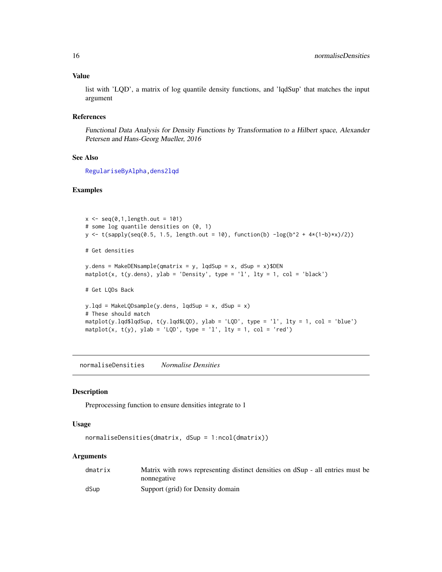#### Value

list with 'LQD', a matrix of log quantile density functions, and 'lqdSup' that matches the input argument

#### References

Functional Data Analysis for Density Functions by Transformation to a Hilbert space, Alexander Petersen and Hans-Georg Mueller, 2016

#### See Also

[RegulariseByAlpha](#page-17-1)[,dens2lqd](#page-3-1)

# Examples

```
x \leq -\text{seq}(0, 1, \text{length.out} = 101)# some log quantile densities on (0, 1)
y <- t(sapply(seq(0.5, 1.5, length.out = 10), function(b) -log(b^2 + 4*(1-b)*x)/2))
# Get densities
y.dens = MakeDENsample(qmatrix = y, lqdSup = x, dSup = x)$DEN
matplot(x, t(y.dens), ylab = 'Density', type = 'l', lty = 1, col = 'black')
# Get LQDs Back
y.lqd = MakeLQDsample(y.dens, lqdSup = x, dSup = x)
# These should match
matplot(y.lqd$lqdSup, t(y.lqd$LQD), ylab = 'LQD', type = 'l', lty = 1, col = 'blue')
matplot(x, t(y), ylab = 'LQD', type = 'l', lty = 1, col = 'red')
```
<span id="page-15-1"></span>normaliseDensities *Normalise Densities*

#### Description

Preprocessing function to ensure densities integrate to 1

#### Usage

```
normaliseDensities(dmatrix, dSup = 1:ncol(dmatrix))
```

| dmatrix | Matrix with rows representing distinct densities on dSup - all entries must be |
|---------|--------------------------------------------------------------------------------|
|         | nonnegative                                                                    |
| dSup    | Support (grid) for Density domain                                              |

<span id="page-15-0"></span>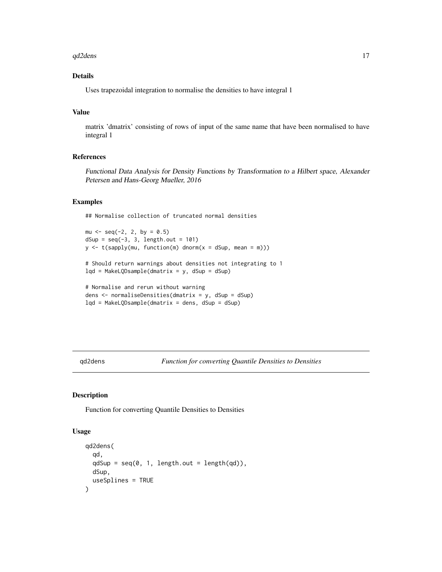#### <span id="page-16-0"></span>qd2dens and the control of the control of the control of the control of the control of the control of the control of the control of the control of the control of the control of the control of the control of the control of

# Details

Uses trapezoidal integration to normalise the densities to have integral 1

# Value

matrix 'dmatrix' consisting of rows of input of the same name that have been normalised to have integral 1

# References

Functional Data Analysis for Density Functions by Transformation to a Hilbert space, Alexander Petersen and Hans-Georg Mueller, 2016

#### Examples

## Normalise collection of truncated normal densities

```
mu \le - seq(-2, 2, by = 0.5)
dSup = seq(-3, 3, length.out = 101)y \leq t (sapply(mu, function(m) dnorm(x = dSup, mean = m)))
```

```
# Should return warnings about densities not integrating to 1
lqd = MakeLQDsample(dmatrix = y, dSup = dSup)
```

```
# Normalise and rerun without warning
dens <- normaliseDensities(dmatrix = y, dSup = dSup)
lqd = MakeLQDsample(dmatrix = dens, dSup = dSup)
```
qd2dens *Function for converting Quantile Densities to Densities*

#### Description

Function for converting Quantile Densities to Densities

#### Usage

```
qd2dens(
  qd,
  qdSup = seq(0, 1, length.out = length(qd)),dSup,
  useSplines = TRUE
)
```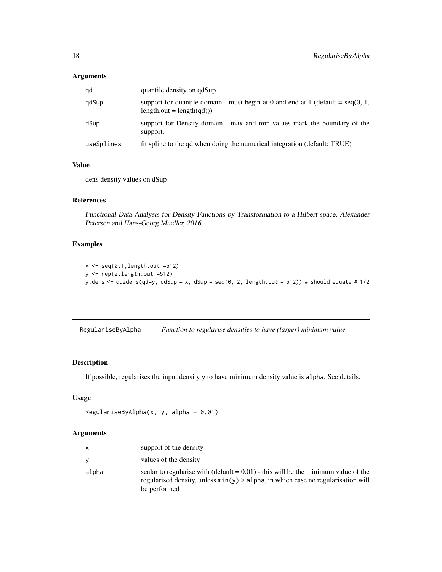# <span id="page-17-0"></span>Arguments

| qd         | quantile density on qdSup                                                                                            |
|------------|----------------------------------------------------------------------------------------------------------------------|
| qdSup      | support for quantile domain - must begin at 0 and end at 1 (default = $seq(0, 1, 1)$ )<br>$length.out = length(ad))$ |
| dSup       | support for Density domain - max and min values mark the boundary of the<br>support.                                 |
| useSplines | fit spline to the qd when doing the numerical integration (default: TRUE)                                            |

# Value

dens density values on dSup

#### References

Functional Data Analysis for Density Functions by Transformation to a Hilbert space, Alexander Petersen and Hans-Georg Mueller, 2016

# Examples

```
x \leftarrow \text{seq}(0,1,\text{length.out }=512)y \leftarrow \text{rep}(2, \text{length.out }=512)y.dens <- qd2dens(qd=y, qdSup = x, dSup = seq(0, 2, length.out = 512)) # should equate # 1/2
```
<span id="page-17-1"></span>RegulariseByAlpha *Function to regularise densities to have (larger) minimum value*

# Description

If possible, regularises the input density y to have minimum density value is alpha. See details.

#### Usage

```
RegulariseByAlpha(x, y, alpha = 0.01)
```

| $\mathbf{x}$ | support of the density                                                                                                                                                                       |
|--------------|----------------------------------------------------------------------------------------------------------------------------------------------------------------------------------------------|
| <b>V</b>     | values of the density                                                                                                                                                                        |
| alpha        | scalar to regularise with (default $= 0.01$ ) - this will be the minimum value of the<br>regularised density, unless $min(y) > alpha$ , in which case no regularisation will<br>be performed |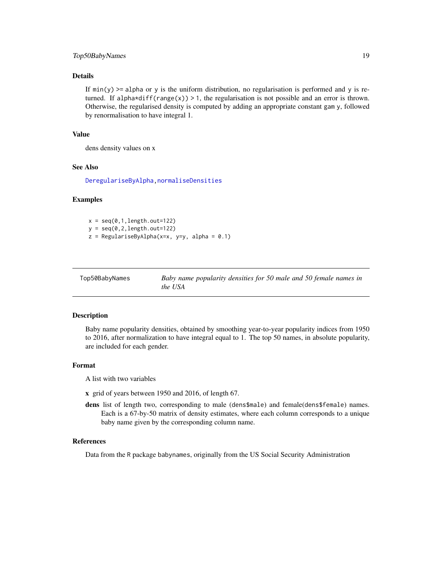# <span id="page-18-0"></span>Top50BabyNames 19

#### Details

If  $min(y)$  >= alpha or y is the uniform distribution, no regularisation is performed and y is returned. If alpha\*diff(range(x)) > 1, the regularisation is not possible and an error is thrown. Otherwise, the regularised density is computed by adding an appropriate constant gam y, followed by renormalisation to have integral 1.

#### Value

dens density values on x

#### See Also

[DeregulariseByAlpha,](#page-6-1)[normaliseDensities](#page-15-1)

#### Examples

 $x = seq(0, 1, length.out=122)$  $y = seq(0, 2, length.out=122)$  $z =$  RegulariseByAlpha(x=x, y=y, alpha = 0.1)

| Top50BabyNames | Baby name popularity densities for 50 male and 50 female names in |
|----------------|-------------------------------------------------------------------|
|                | the USA                                                           |

#### Description

Baby name popularity densities, obtained by smoothing year-to-year popularity indices from 1950 to 2016, after normalization to have integral equal to 1. The top 50 names, in absolute popularity, are included for each gender.

#### Format

A list with two variables

- x grid of years between 1950 and 2016, of length 67.
- dens list of length two, corresponding to male (dens\$male) and female(dens\$female) names. Each is a 67-by-50 matrix of density estimates, where each column corresponds to a unique baby name given by the corresponding column name.

#### References

Data from the R package babynames, originally from the US Social Security Administration